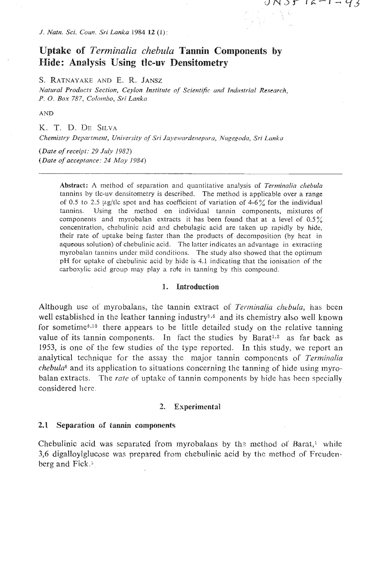*J. Natn. Sci. Coun. Sri Lanka 1984 12 (1):* 

# **Uptake of** *Terminalin chebulu* **Tannin Components by Hide: Analysis Using tlc-uv Densitometry**

 $J\Lambda Jf$   $K^ H^0f$ 

**S. RATNAYAKE** AND E. *n.* **JANSZ** 

Natural Products Section, Ceylon Institute of Scientific and Industrial Research, *P.* **0.** *Box* 787, *ColotnDo, Sri Lmzkcr* 

**AND** 

K. T. D. DE SILVA *Cllemistry Dri?nrtrnant, Ur~iversity of Sri* **Jaj.ov~zrdc..ze~~~~rc~,** *Nugegorkr, Sri Lrrnka* 

*(Date of receipt: 29 July 1982) (Date of acceptance: 24 May 1984)* 

> **Abstract:** A method of separation and quantitative analysis of *Terrninnlia cllebula*  tannins by tlc-uv densitometry is described. The method is applicable over a range of 0.5 to 2.5  $\mu$ g/tlc spot and has coefficient of variation of 4-6% for the individual tannins. Using the mcthod on individual tannin components, mixtures of components and myrobalan extracts it has been found that at a level of  $0.5\%$ concentration, chebulinic acid and chebulagic acid are taken up rapidly by hide, their rate of uptake being faster than the products of decomposition (by heat in aqueous solution) of chebulinic acid. The latter indicates an advantage in extracling myrobalan tannins under mild conditions. The study also showcd that the optimum pH for uptake of chebulinic acid by hide is 4.1 indicating that the ionisation of the carboxylic acid group may play a rote in tanning by this compound.

### **:l. Introduction**

Although use of myrobalans, the tannin extract of *Terminalia chebula*, has been well established in the leather tanning industry<sup> $5,6$ </sup> and its chemistry also well known for sometime<sup> $4,10$ </sup> there appears to be little detailed study on the relative tanning value of its tannin components. In fact the studies by Barat<sup>1,2</sup> as far back as 1953, is one of the few studies of the type reported. In this study, we report an analytical technique for the assay the major tannin components of *Terminalia chebzila8* and its application to situations concerning the tanning of hide **using** myrobalm extracts. The *mttz* of uptake of tannin components by hide has heen specially considered here.

### **2. Experimental**

### **2.1 Separatiosi of tamin components**

Chebulinic acid was separated from myrobaians by th? method of Barat,' **while**  3,6 digalloylglucose was prepared from chebulinic acid by thc method **of** Frcudenberg and Fick.<sup>3</sup>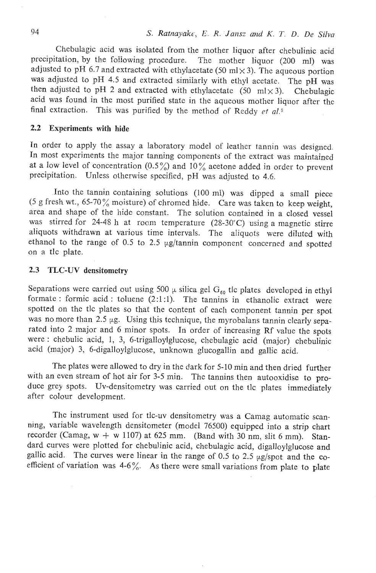Chebulagic acid was isolated from the mother liquor after chebulinic acid precipitation, by the following procedure. The mother liquor (200 ml) was adjusted to pH 6.7 and extracted with ethylacetate (50 ml $\times$ 3). The aqueous portion was adjusted to pH 4.5 and extracted similarly with ethyl acetate. The pH was then adjusted to pH 2 and extracted with ethylacetate  $(50 \text{ ml} \times 3)$ . Chebulagic acid was found in the most purified state in the aqueous mother liquor after the final extraction. This was purified by the method of Reddy et al.<sup>9</sup>

# **2.2** Experiments **with hide**

In order to apply the assay a laboratory model of leather tannin was designed. In most experiments the major tanning components of the extract was maintained at a low level of concentration  $(0.5\%)$  and  $10\%$  acetone added in order to prevent precipitation. Unless otherwise specified, pH was adjusted to 4.6.

Into the tannin containing solutions  $(100 \text{ ml})$  was dipped a small piece *(5* g fresh wt., 65-70% moisture) of chromed hide. Care was taken to keep weight, area and shape of the hide constant. The solution contained in a closed vessel was stirred for 24-48 h at room temperature (28-30°C) using a magnetic stirre aliquots withdrawn at various time intervals. The aliquots were diluted with ethanol to the range of 0.5 to 2.5 µg/tannin component concerned and spotted on a tlc plate.

## **2.3 TLC-UV** densitonnetry

Separations were carried out using 500  $\mu$  silica gel  $G_{60}$  tic plates developed in ethyl formate : formic acid : toluene  $(2:1:1)$ . The tannins in ethanolic extract were spotted on the tlc plates so that the content of each component tannin per spot was no more than 2.5  $\mu$ g. Using this technique, the myrobalans tannin clearly separated into 2 major and 6 minor spots. In order of increasing Rf value the spots were : chebulic acid, 1, 3, 6-trigalloylglucose, chebulagic acid (major) chebulinic acid (major) 3, 6-digalloylglucose, unknown glucogallin and gallic acid.

The plates were allowed to dry in the dark for 5-10 min and then dried further with an even stream of hot air for 3-5 min. The tannins then autooxidise to produce grey spots. Uv-densitometry was carried out on the tlc plates immediately after colour development.

Thc instrument used for tlc-uv densitometry was a Camag automatic scannjng, variable wavelength densitometer (model 76500) equipped into a strip chart recorder (Camag,  $w + w 1107$ ) at 625 mm. (Band with 30 nm, slit 6 mm). Standard curves were plotted for chebulinic acid, chebulagic acid, digalloylglucose and gallic acid. The curves were linear in the range of 0.5 to 2.5  $\mu$ g/spot and the coefficient of variation was  $4-6\%$ . As there were small variations from plate to plate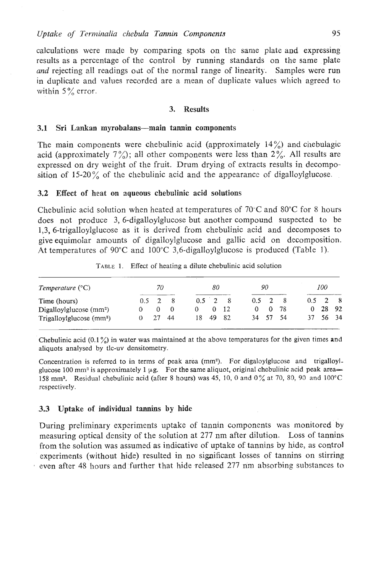calculations were made by comparing spots on the same plate and expressing results as a percentage of the control by running standards on the same plate *and* rejecting all readings out of the normal range of linearity. Samples were run in duplicate and values recorded are a mean of duplicate values which agreed to within  $5\%$  error.

# **3. Results**

### **3.1 Sri Lankan myrobalans-main tannin components**

The main components were chebulinic acid (approximately  $14\%$ ) and chebulagic acid (approximately  $7\frac{\sqrt{}}{2}$ ); all other components were less than  $2\frac{\sqrt{}}{2}$ . All results are expressed on dry weight of the fruit. Drum drying of extracts results in decomposition of  $15{\text -}20\%$  of the chebulinic acid and the appearance of digalloylglucose.

### **3.2 Effect of heat on aqueous chebulinic acid solutions**

Chebulinic acid solution when heated at temperatures of  $70^{\circ}$ C and  $80^{\circ}$ C for 8 hours does not produce 3, 6-digalloylglucose but another compound suspected to be 1,3, 6-trigalloylglucose as it is derived from chebulinic acid and decomposes to give equirnoiar amounts of digalloylglucose and gallic acid on decomposition. At temperatures of 90 $^{\circ}$ C and 100 $^{\circ}$ C 3,6-digalloylglucose is produced (Table 1).

| TABLE 1.                  | Effect of heating a dilute chebulinic acid solution |          |                |    |             |          |     |               |    |     |          |               |       |  |  |
|---------------------------|-----------------------------------------------------|----------|----------------|----|-------------|----------|-----|---------------|----|-----|----------|---------------|-------|--|--|
| Temperature $(^{\circ}C)$ |                                                     | 70       |                |    | 80          |          |     | 90            |    |     | 100      |               |       |  |  |
| Time (hours)              | 0.5                                                 | 2        | -8             |    | $0.5 \pm 2$ |          | - 8 | $0.5 \quad 2$ |    | - 8 | 0.5      | $\mathcal{P}$ | - 8   |  |  |
| Digalloylglucose $(mm2)$  | $^{O}$                                              | $\Omega$ | $\overline{0}$ | 0  |             | $\Omega$ | 12  | 0             | 0  | 78  | $\Omega$ | 28            | 92    |  |  |
| $Trigalloylglu\csc(mm2)$  | 0                                                   |          | 44             | 18 | 49          |          | -82 | 34            | 57 | 54  | 37       |               | 56 34 |  |  |

**TADLE** I. Effect of heating **a** dilute chebulinic acid solution

Chebulinic acid (0.1 %) in water was maintained at the above temperaturcs for the given times **and**  aliquots analysed by tlc-uv densitometry.

Concentration is referred to in terms of peak area (mm<sup>2</sup>). For digaloylglucose and trigalloylglucose 100 mm<sup>3</sup> is approximately 1  $\mu$ g. For the same aliquot, original chebulinic acid peak area-158 mma. Residual chebuliilic acid (after 8 hours) was 45, **10, O and 0%** at **70,** 80, **90** and **100°C**  respectively.

#### **3.3** Uptake of individual tannins by hide

During prcliminary experiments uptake of tannin components was monitored by measuring optical dcnsity of the solution at 277 nm after dilution. Loss of tannins from the solution was assumed as indicative of uptake of tannins by hide, as control cxperimenis (without hide) resulted in no significant losses of tannins on stirring even after 48 hours and further that hide released 277 nm absorbing substances to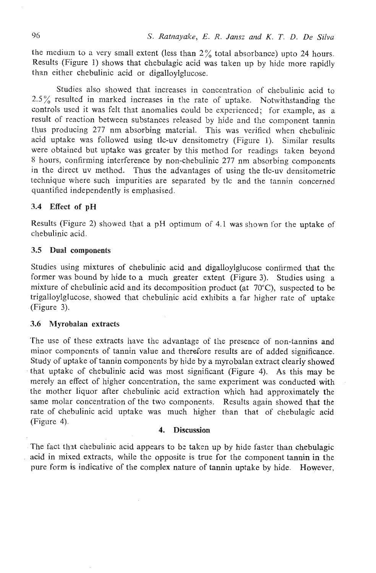the medium to a very small extent (less than  $2\%$  total absorbance) upto 24 hours. Results (Figure 1) shows that chebulagic acid was taken up by hide more rapidly than either chebulinic acid or digalloylglucose.

Studies also showed that increases in concentration of chebulinic acid to 2.5% resultcd in marked increases in the rate of uptake. Notwithstanding the controls used it was felt that anomalies could be experienced; for example, as a result of reaction between substances released by hide and the component tannin thus producing 277 nm absorbing material. This was verified when chebulinic acid uptake was followed using tlc-uv densitometry (Figure 1). Similar results were obtained but uptake was greater by this method for readings taken beyond 8 hours, confirming interference by non-chebulinic 277 nm absorbing components in thc direct uv method. Thus the advantages of using the tlc-uv densitornetric technique where such impurities are separated by tlc and the tannin concerned quantified independently is emphasised.

# **3.4 Effect** of **pH**

Results (Figure 2) showed that a pH optimum of 4.1 was shown for the uptake of chebulinic acid.

# **3.5** Dual **components**

Studies using mixtures of chebulinic acid and digalloylglucose confirmed that the former was bound by hide to a much greater extent (Figure 3). Studies using a mixture of chebulinic acid and its decomposition product (at 70"C), suspected to be trigalloylglucose. showed that chebulinic acid exhibits a far higher rate of uptake (Figure 3).

# **3.6** Myrobalan extracts

The use of these extracts have the advantage of the presence of non-tannins and minor components of tannin value and therefore results are of added significance. Study of uptake of tannin components by hide by a myrobalan extract clearly showed that uptake of chebulinic acid was most significant (Figure 4). As this may be merely an effect of higher concentration, the same experiment was conducted with the mother liquor after chebulinic acid extraction which had approximately the same molar concentration of the two components. Results again showed that the rate of chebulinic acid uptake was much higher than that of chebulagic acid (Figure 4)

## **4. Discussion**

The fact that chebulinic acid appears to be taken up by hide faster than chebulagic acid in mixed extracts, while the opposite is true for the component tannin in the pure form is indicative of the complex nature of tannin uptake by hide. However,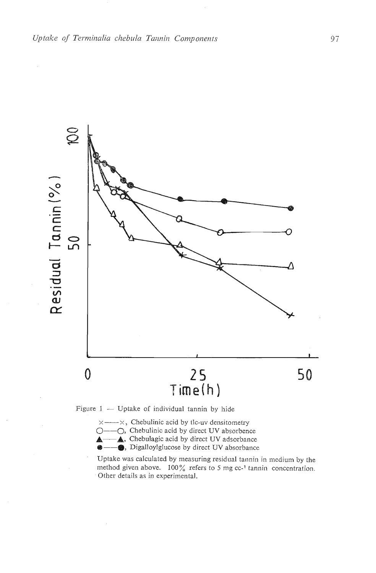

 $x \rightarrow x$ , Chebulinic acid by tlc-uv densitometry

 $Q$ —— $Q$ , Chebulinic acid by direct UV absorbence<br> $\triangle$ —— $\triangle$ , Chebulagic acid by direct UV adsorbance

 $\bullet$ — $\bullet$ , Digalloylglucose by direct UV absorbance

Uptake was calculated by measuring residual tannin in medium by the method given above. 100% refers to 5 mg cc<sup>-1</sup> tannin concentration. Other details as in experimental.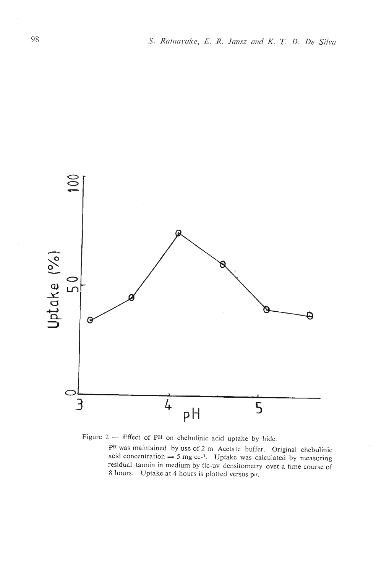



**PH** was maintained by use of 2 m Acetate buffer. Original chebulinic acid concentration  $=$  5 mg cc-<sup>1</sup>. Uptake was calculated by measuring residual tannin in medium by tlc-uv densitometry over a time course of 8 hours. Uptake at 4 hours is plotted versus PH.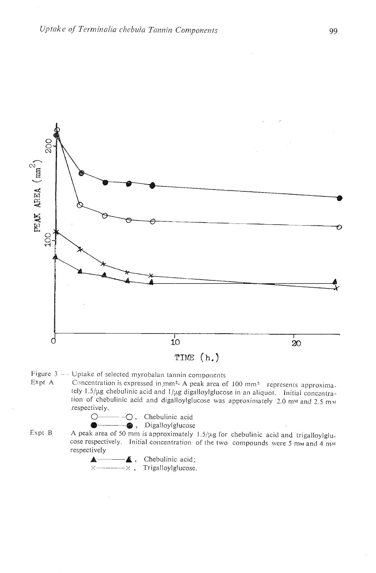

Figure 3 - Uptake of selected myrobalan tannin components<br>Expt A  $\overline{C}$  Concentration is expressed in mm<sup>2</sup>-A peak area of

Concentration is expressed in mm<sup>2</sup>- A peak area of 100 mm<sup>2</sup> represents approximately  $1.5/\mu$ g chebulinic acid and  $1/\mu$ g digalloylglucose in an aliquot. Initial concentration of chebulinic acid and digalloylglucose was approximately 2.0 mm and 2.5 mm respectively.



Expt B A peak area of 50 mm is approximately 1.5/ $\mu$ g for chebulinic acid and trigalloylglucose respectively. Initial concentration of the two compounds were 5 mm and 4 mm respectively

**A** - **A**, Chebulinic acid;  $\times$  --------- $\times$ , Trigalloylglucose.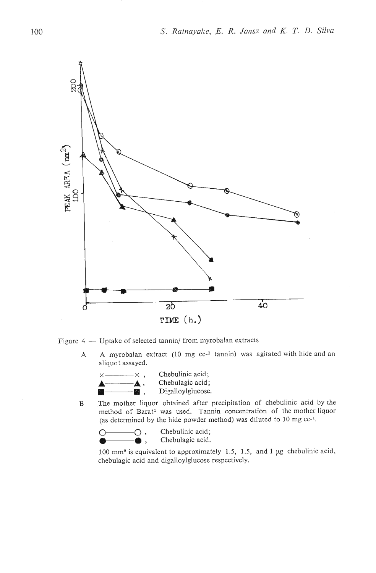

Figure  $4 -$  Uptake of selected tannin/ from myrobalan extracts

A A myrobalan extract (10 mg cc<sup>-1</sup> tannin) was agitated with hide and an aliquot assayed.<br>  $\times$ ————  $\times$  , Chebulinic acid;<br>
Chebulagic acid: aliquot assayed.



- Digalloylglucose.
- B The mother liquor obtained after precipitation of chebulinic acid by the method of Barat<sup>1</sup> was used. Tannin concentration of the mother liquor (as determined by the hide powder method) was diluted to 10 mg  $cc^{-1}$ .

```
Q \longrightarrow Q, Chebulinic acid;<br>
Q \longrightarrow Q, Chebulagic acid.
a, Chebulagic acid.
```
100 mma is equivalent to approximately 1.5, 1.5, and 1 **p,g** chebulinic acid,

chebulagic acid and digalloylglucose respectively.